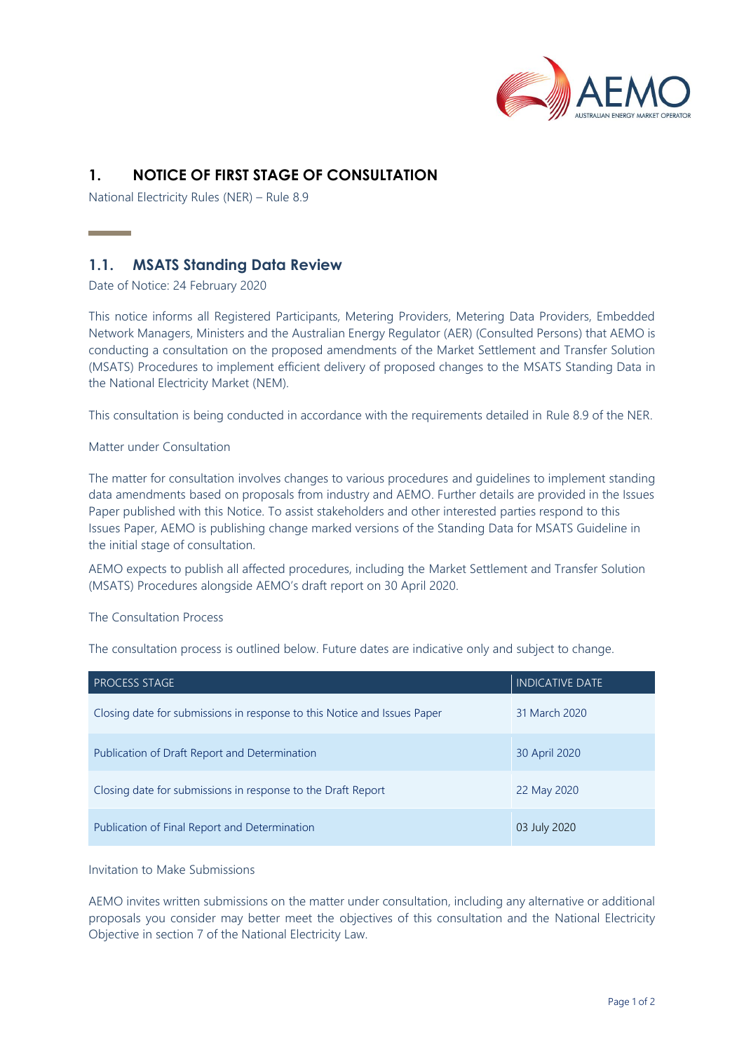

# **1. NOTICE OF FIRST STAGE OF CONSULTATION**

National Electricity Rules (NER) – Rule 8.9

## **1.1. MSATS Standing Data Review**

Date of Notice: 24 February 2020

and the company of the company

This notice informs all Registered Participants, Metering Providers, Metering Data Providers, Embedded Network Managers, Ministers and the Australian Energy Regulator (AER) (Consulted Persons) that AEMO is conducting a consultation on the proposed amendments of the Market Settlement and Transfer Solution (MSATS) Procedures to implement efficient delivery of proposed changes to the MSATS Standing Data in the National Electricity Market (NEM).

This consultation is being conducted in accordance with the requirements detailed in Rule 8.9 of the NER.

## Matter under Consultation

The matter for consultation involves changes to various procedures and guidelines to implement standing data amendments based on proposals from industry and AEMO. Further details are provided in the Issues Paper published with this Notice. To assist stakeholders and other interested parties respond to this Issues Paper, AEMO is publishing change marked versions of the Standing Data for MSATS Guideline in the initial stage of consultation.

AEMO expects to publish all affected procedures, including the Market Settlement and Transfer Solution (MSATS) Procedures alongside AEMO's draft report on 30 April 2020.

#### The Consultation Process

The consultation process is outlined below. Future dates are indicative only and subject to change.

| PROCESS STAGE                                                            | <b>INDICATIVE DATE</b> |
|--------------------------------------------------------------------------|------------------------|
| Closing date for submissions in response to this Notice and Issues Paper | 31 March 2020          |
| Publication of Draft Report and Determination                            | 30 April 2020          |
| Closing date for submissions in response to the Draft Report             | 22 May 2020            |
| Publication of Final Report and Determination                            | 03 July 2020           |

Invitation to Make Submissions

AEMO invites written submissions on the matter under consultation, including any alternative or additional proposals you consider may better meet the objectives of this consultation and the National Electricity Objective in section 7 of the National Electricity Law.